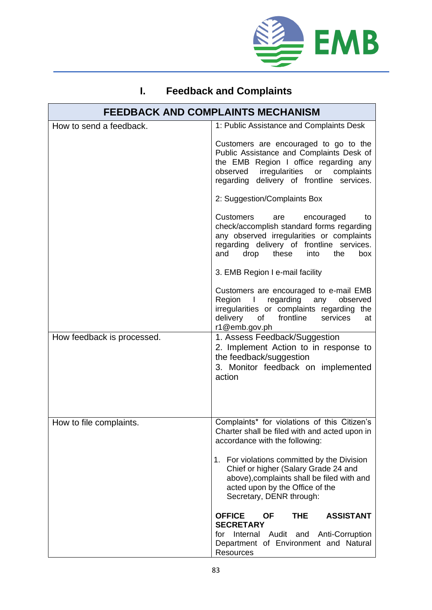

## **I. Feedback and Complaints**

| <b>FEEDBACK AND COMPLAINTS MECHANISM</b> |                                                                                                                                                                                                                                  |  |
|------------------------------------------|----------------------------------------------------------------------------------------------------------------------------------------------------------------------------------------------------------------------------------|--|
| How to send a feedback.                  | 1: Public Assistance and Complaints Desk                                                                                                                                                                                         |  |
|                                          | Customers are encouraged to go to the<br>Public Assistance and Complaints Desk of<br>the EMB Region I office regarding any<br>observed irregularities or complaints<br>regarding delivery of frontline services.                 |  |
|                                          | 2: Suggestion/Complaints Box                                                                                                                                                                                                     |  |
|                                          | <b>Customers</b><br>are<br>encouraged<br>to<br>check/accomplish standard forms regarding<br>any observed irregularities or complaints<br>regarding delivery of frontline services.<br>and<br>these<br>the<br>drop<br>into<br>box |  |
|                                          | 3. EMB Region I e-mail facility                                                                                                                                                                                                  |  |
|                                          | Customers are encouraged to e-mail EMB<br>Region I regarding any observed<br>irregularities or complaints regarding the<br>delivery of frontline<br>services<br>at<br>r1@emb.gov.ph                                              |  |
| How feedback is processed.               | 1. Assess Feedback/Suggestion<br>2. Implement Action to in response to<br>the feedback/suggestion<br>3. Monitor feedback on implemented<br>action                                                                                |  |
| How to file complaints.                  | Complaints* for violations of this Citizen's<br>Charter shall be filed with and acted upon in<br>accordance with the following:                                                                                                  |  |
|                                          | 1. For violations committed by the Division<br>Chief or higher (Salary Grade 24 and<br>above), complaints shall be filed with and<br>acted upon by the Office of the<br>Secretary, DENR through:                                 |  |
|                                          | <b>OFFICE</b><br><b>OF</b><br><b>ASSISTANT</b><br><b>THE</b><br><b>SECRETARY</b>                                                                                                                                                 |  |
|                                          | for Internal Audit and<br>Anti-Corruption<br>Department of Environment and Natural<br><b>Resources</b>                                                                                                                           |  |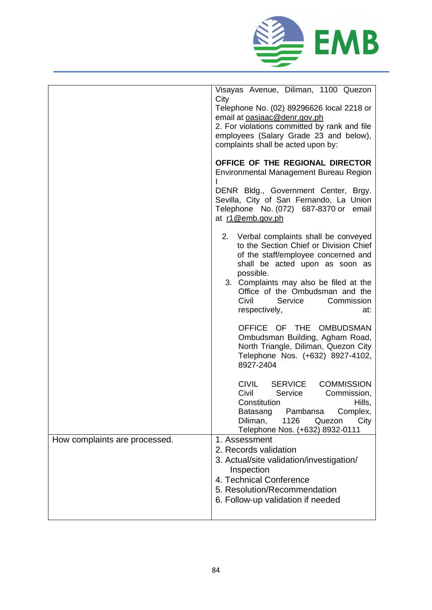

|                               | Visayas Avenue, Diliman, 1100 Quezon<br>City<br>Telephone No. (02) 89296626 local 2218 or<br>email at oasiaac@denr.gov.ph<br>2. For violations committed by rank and file<br>employees (Salary Grade 23 and below),<br>complaints shall be acted upon by:<br>OFFICE OF THE REGIONAL DIRECTOR<br>Environmental Management Bureau Region |  |
|-------------------------------|----------------------------------------------------------------------------------------------------------------------------------------------------------------------------------------------------------------------------------------------------------------------------------------------------------------------------------------|--|
|                               | DENR Bldg., Government Center, Brgy.<br>Sevilla, City of San Fernando, La Union<br>Telephone No. (072) 687-8370 or<br>email<br>at r1@emb.gov.ph                                                                                                                                                                                        |  |
|                               | 2. Verbal complaints shall be conveyed<br>to the Section Chief or Division Chief<br>of the staff/employee concerned and<br>shall be acted upon as soon as<br>possible.<br>3. Complaints may also be filed at the<br>Office of the Ombudsman and the<br>Civil<br>Service<br>Commission<br>respectively,<br>at:                          |  |
|                               | OFFICE OF THE<br><b>OMBUDSMAN</b><br>Ombudsman Building, Agham Road,<br>North Triangle, Diliman, Quezon City<br>Telephone Nos. (+632) 8927-4102,<br>8927-2404                                                                                                                                                                          |  |
|                               | <b>CIVIL</b><br><b>SERVICE</b><br><b>COMMISSION</b><br>Civil<br>Service<br>Commission,<br>Constitution<br>Hills,<br>Batasang<br>Pambansa<br>Complex,<br>1126<br>Diliman,<br>City<br>Quezon<br>Telephone Nos. (+632) 8932-0111                                                                                                          |  |
| How complaints are processed. | 1. Assessment<br>2. Records validation<br>3. Actual/site validation/investigation/<br>Inspection<br>4. Technical Conference<br>5. Resolution/Recommendation<br>6. Follow-up validation if needed                                                                                                                                       |  |